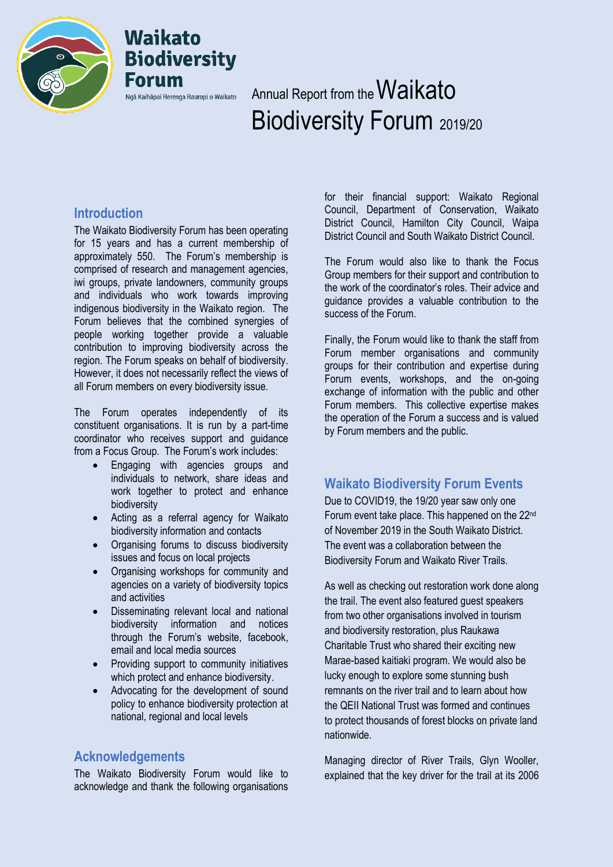

## **Waikato Biodiversity** Forum Ngā Kaihāpai Rerenga Rauropi o Waikato

# Annual Report from the Waikato Biodiversity Forum 2019/20

#### **Introduction**

The Waikato Biodiversity Forum has been operating for 15 years and has a current membership of approximately 550. The Forum's membership is comprised of research and management agencies, iwi groups, private landowners, community groups and individuals who work towards improving indigenous biodiversity in the Waikato region. The Forum believes that the combined synergies of people working together provide a valuable contribution to improving biodiversity across the region. The Forum speaks on behalf of biodiversity. However, it does not necessarily reflect the views of all Forum members on every biodiversity issue.

The Forum operates independently of its constituent organisations. It is run by a part-time coordinator who receives support and guidance from a Focus Group. The Forum's work includes:

- Engaging with agencies groups and individuals to network, share ideas and work together to protect and enhance biodiversity
- Acting as a referral agency for Waikato biodiversity information and contacts
- Organising forums to discuss biodiversity issues and focus on local projects
- Organising workshops for community and agencies on a variety of biodiversity topics and activities
- Disseminating relevant local and national biodiversity information and notices through the Forum's website, facebook, email and local media sources
- Providing support to community initiatives which protect and enhance biodiversity.
- Advocating for the development of sound policy to enhance biodiversity protection at national, regional and local levels

#### **Acknowledgements**

The Waikato Biodiversity Forum would like to acknowledge and thank the following organisations for their financial support: Waikato Regional Council, Department of Conservation, Waikato District Council, Hamilton City Council, Waipa District Council and South Waikato District Council.

The Forum would also like to thank the Focus Group members for their support and contribution to the work of the coordinator's roles. Their advice and guidance provides a valuable contribution to the success of the Forum.

Finally, the Forum would like to thank the staff from Forum member organisations and community groups for their contribution and expertise during Forum events, workshops, and the on-going exchange of information with the public and other Forum members. This collective expertise makes the operation of the Forum a success and is valued by Forum members and the public.

### **Waikato Biodiversity Forum Events**

Due to COVID19, the 19/20 year saw only one Forum event take place. This happened on the 22<sup>nd</sup> of November 2019 in the South Waikato District. The event was a collaboration between the Biodiversity Forum and Waikato River Trails.

As well as checking out restoration work done along the trail. The event also featured guest speakers from two other organisations involved in tourism and biodiversity restoration, plus Raukawa Charitable Trust who shared their exciting new Marae-based kaitiaki program. We would also be lucky enough to explore some stunning bush remnants on the river trail and to learn about how the QEII National Trust was formed and continues to protect thousands of forest blocks on private land nationwide.

Managing director of River Trails, Glyn Wooller, explained that the key driver for the trail at its 2006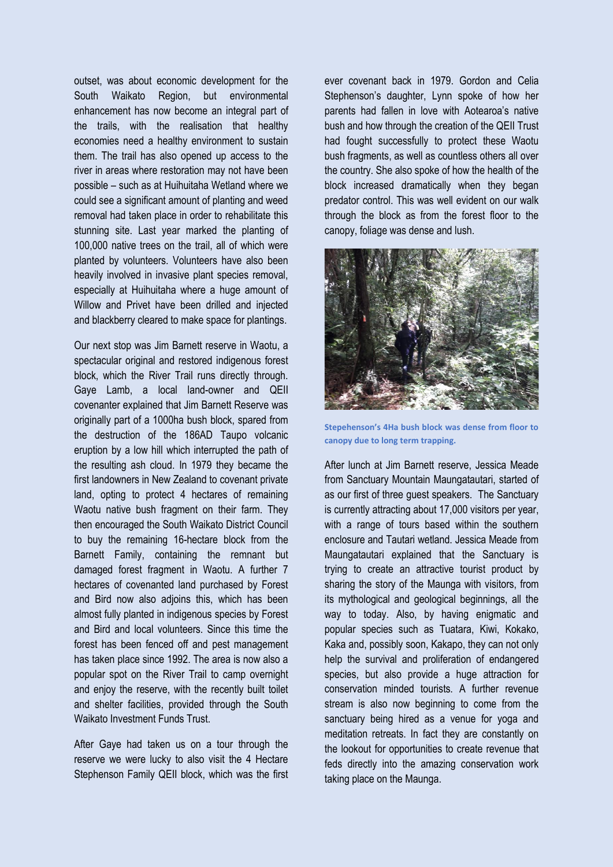outset, was about economic development for the South Waikato Region, but environmental enhancement has now become an integral part of the trails, with the realisation that healthy economies need a healthy environment to sustain them. The trail has also opened up access to the river in areas where restoration may not have been possible – such as at Huihuitaha Wetland where we could see a significant amount of planting and weed removal had taken place in order to rehabilitate this stunning site. Last year marked the planting of 100,000 native trees on the trail, all of which were planted by volunteers. Volunteers have also been heavily involved in invasive plant species removal, especially at Huihuitaha where a huge amount of Willow and Privet have been drilled and injected and blackberry cleared to make space for plantings.

Our next stop was Jim Barnett reserve in Waotu, a spectacular original and restored indigenous forest block, which the River Trail runs directly through. Gaye Lamb, a local land-owner and QEII covenanter explained that Jim Barnett Reserve was originally part of a 1000ha bush block, spared from the destruction of the 186AD Taupo volcanic eruption by a low hill which interrupted the path of the resulting ash cloud. In 1979 they became the first landowners in New Zealand to covenant private land, opting to protect 4 hectares of remaining Waotu native bush fragment on their farm. They then encouraged the South Waikato District Council to buy the remaining 16-hectare block from the Barnett Family, containing the remnant but damaged forest fragment in Waotu. A further 7 hectares of covenanted land purchased by Forest and Bird now also adjoins this, which has been almost fully planted in indigenous species by Forest and Bird and local volunteers. Since this time the forest has been fenced off and pest management has taken place since 1992. The area is now also a popular spot on the River Trail to camp overnight and enjoy the reserve, with the recently built toilet and shelter facilities, provided through the South Waikato Investment Funds Trust.

After Gaye had taken us on a tour through the reserve we were lucky to also visit the 4 Hectare Stephenson Family QEII block, which was the first ever covenant back in 1979. Gordon and Celia Stephenson's daughter, Lynn spoke of how her parents had fallen in love with Aotearoa's native bush and how through the creation of the QEII Trust had fought successfully to protect these Waotu bush fragments, as well as countless others all over the country. She also spoke of how the health of the block increased dramatically when they began predator control. This was well evident on our walk through the block as from the forest floor to the canopy, foliage was dense and lush.



**Stepehenson's 4Ha bush block was dense from floor to canopy due to long term trapping.**

After lunch at Jim Barnett reserve, Jessica Meade from Sanctuary Mountain Maungatautari, started of as our first of three guest speakers. The Sanctuary is currently attracting about 17,000 visitors per year, with a range of tours based within the southern enclosure and Tautari wetland. Jessica Meade from Maungatautari explained that the Sanctuary is trying to create an attractive tourist product by sharing the story of the Maunga with visitors, from its mythological and geological beginnings, all the way to today. Also, by having enigmatic and popular species such as Tuatara, Kiwi, Kokako, Kaka and, possibly soon, Kakapo, they can not only help the survival and proliferation of endangered species, but also provide a huge attraction for conservation minded tourists. A further revenue stream is also now beginning to come from the sanctuary being hired as a venue for yoga and meditation retreats. In fact they are constantly on the lookout for opportunities to create revenue that feds directly into the amazing conservation work taking place on the Maunga.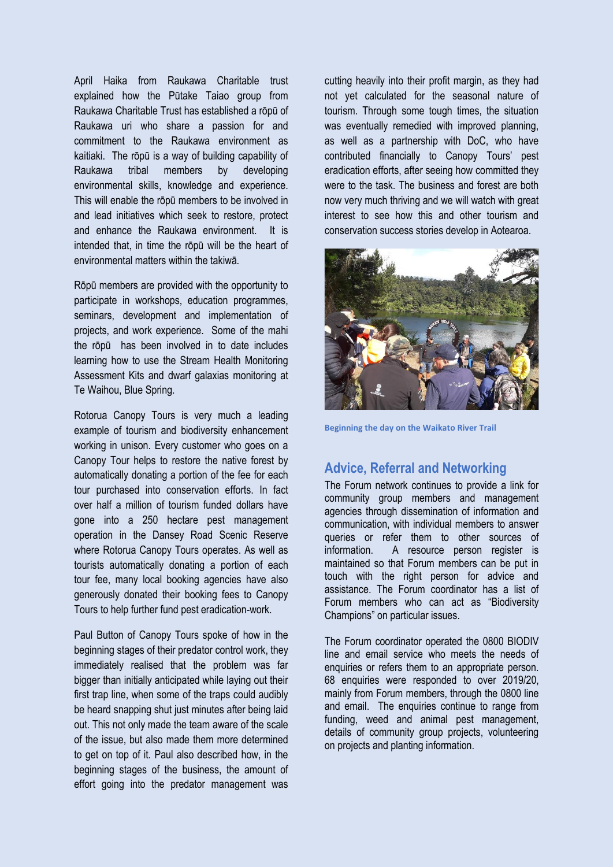April Haika from Raukawa Charitable trust explained how the Pūtake Taiao group from Raukawa Charitable Trust has established a rōpū of Raukawa uri who share a passion for and commitment to the Raukawa environment as kaitiaki. The rōpū is a way of building capability of Raukawa tribal members by developing environmental skills, knowledge and experience. This will enable the rōpū members to be involved in and lead initiatives which seek to restore, protect and enhance the Raukawa environment. It is intended that, in time the rōpū will be the heart of environmental matters within the takiwā.

Rōpū members are provided with the opportunity to participate in workshops, education programmes, seminars, development and implementation of projects, and work experience. Some of the mahi the rōpū has been involved in to date includes learning how to use the Stream Health Monitoring Assessment Kits and dwarf galaxias monitoring at Te Waihou, Blue Spring.

Rotorua Canopy Tours is very much a leading example of tourism and biodiversity enhancement working in unison. Every customer who goes on a Canopy Tour helps to restore the native forest by automatically donating a portion of the fee for each tour purchased into conservation efforts. In fact over half a million of tourism funded dollars have gone into a 250 hectare pest management operation in the Dansey Road Scenic Reserve where Rotorua Canopy Tours operates. As well as tourists automatically donating a portion of each tour fee, many local booking agencies have also generously donated their booking fees to Canopy Tours to help further fund pest eradication-work.

Paul Button of Canopy Tours spoke of how in the beginning stages of their predator control work, they immediately realised that the problem was far bigger than initially anticipated while laying out their first trap line, when some of the traps could audibly be heard snapping shut just minutes after being laid out. This not only made the team aware of the scale of the issue, but also made them more determined to get on top of it. Paul also described how, in the beginning stages of the business, the amount of effort going into the predator management was cutting heavily into their profit margin, as they had not yet calculated for the seasonal nature of tourism. Through some tough times, the situation was eventually remedied with improved planning, as well as a partnership with DoC, who have contributed financially to Canopy Tours' pest eradication efforts, after seeing how committed they were to the task. The business and forest are both now very much thriving and we will watch with great interest to see how this and other tourism and conservation success stories develop in Aotearoa.



**Beginning the day on the Waikato River Trail**

#### **Advice, Referral and Networking**

The Forum network continues to provide a link for community group members and management agencies through dissemination of information and communication, with individual members to answer queries or refer them to other sources of information. A resource person register is maintained so that Forum members can be put in touch with the right person for advice and assistance. The Forum coordinator has a list of Forum members who can act as "Biodiversity Champions" on particular issues.

The Forum coordinator operated the 0800 BIODIV line and email service who meets the needs of enquiries or refers them to an appropriate person. 68 enquiries were responded to over 2019/20, mainly from Forum members, through the 0800 line and email. The enquiries continue to range from funding, weed and animal pest management, details of community group projects, volunteering on projects and planting information.